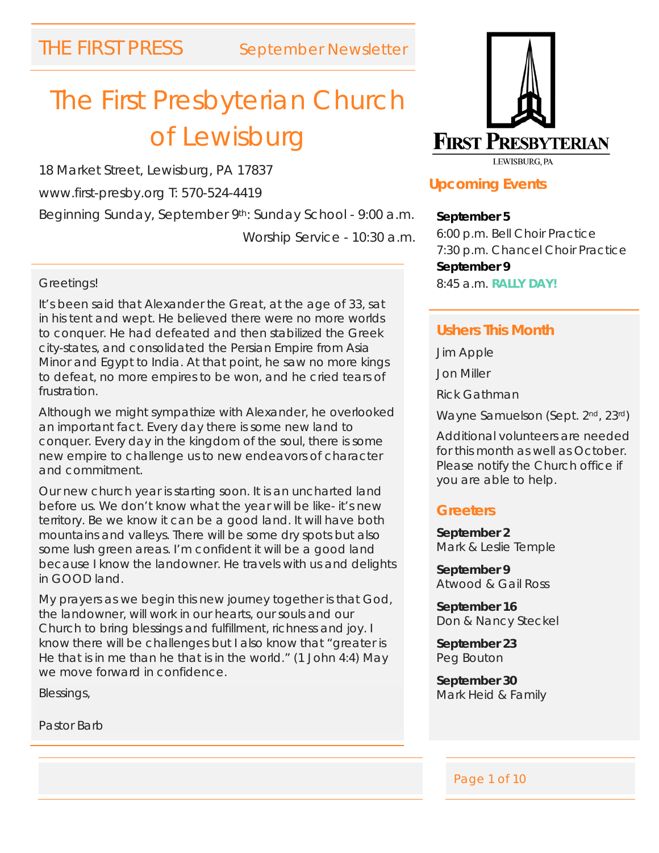# The First Presbyterian Church of Lewisburg

18 Market Street, Lewisburg, PA 17837

www.first-presby.org T: 570-524-4419

Beginning Sunday, September 9th: Sunday School - 9:00 a.m. Worship Service - 10:30 a.m.

#### Greetings!

It's been said that Alexander the Great, at the age of 33, sat in his tent and wept. He believed there were no more worlds to conquer. He had defeated and then stabilized the Greek city-states, and consolidated the Persian Empire from Asia Minor and Egypt to India. At that point, he saw no more kings to defeat, no more empires to be won, and he cried tears of frustration.

Although we might sympathize with Alexander, he overlooked an important fact. Every day there is some new land to conquer. Every day in the kingdom of the soul, there is some new empire to challenge us to new endeavors of character and commitment.

Our new church year is starting soon. It is an uncharted land before us. We don't know what the year will be like- it's new territory. Be we know it can be a good land. It will have both mountains and valleys. There will be some dry spots but also some lush green areas. I'm confident it will be a good land because I know the landowner. He travels with us and delights in GOOD land.

My prayers as we begin this new journey together is that God, the landowner, will work in our hearts, our souls and our Church to bring blessings and fulfillment, richness and joy. I know there will be challenges but I also know that "greater is He that is in me than he that is in the world." (1 John 4:4) May we move forward in confidence.

Blessings,

Pastor Barb



# **Upcoming Events**

**September 5** 6:00 p.m. Bell Choir Practice 7:30 p.m. Chancel Choir Practice **September 9** 8:45 a.m. **RALLY DAY!**

#### **Ushers This Month**

Jim Apple Jon Miller Rick Gathman Wayne Samuelson (Sept. 2<sup>nd</sup>, 23<sup>rd</sup>)

Additional volunteers are needed for this month as well as October. Please notify the Church office if you are able to help.

### **Greeters**

**September 2** Mark & Leslie Temple

**September 9** Atwood & Gail Ross

**September 16** Don & Nancy Steckel

**September 23** Peg Bouton

**September 30** Mark Heid & Family

#### Page 1 of 10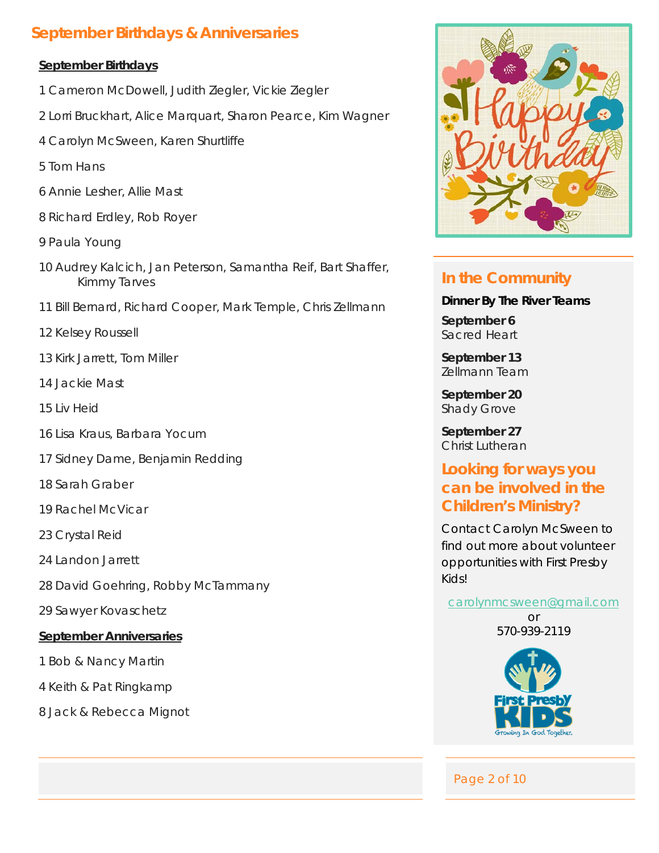# **September Birthdays & Anniversaries**

#### **September Birthdays**

- 1 Cameron McDowell, Judith Ziegler, Vickie Ziegler
- 2 Lorri Bruckhart, Alice Marquart, Sharon Pearce, Kim Wagner
- 4 Carolyn McSween, Karen Shurtliffe
- 5 Tom Hans
- 6 Annie Lesher, Allie Mast
- 8 Richard Erdley, Rob Royer
- 9 Paula Young
- 10 Audrey Kalcich, Jan Peterson, Samantha Reif, Bart Shaffer, Kimmy Tarves
- 11 Bill Bernard, Richard Cooper, Mark Temple, Chris Zellmann
- 12 Kelsey Roussell
- 13 Kirk Jarrett, Tom Miller
- 14 Jackie Mast
- 15 Liv Heid
- 16 Lisa Kraus, Barbara Yocum
- 17 Sidney Dame, Benjamin Redding
- 18 Sarah Graber
- 19 Rachel McVicar
- 23 Crystal Reid
- 24 Landon Jarrett
- 28 David Goehring, Robby McTammany
- 29 Sawyer Kovaschetz

#### **September Anniversaries**

- 1 Bob & Nancy Martin
- 4 Keith & Pat Ringkamp
- 8 Jack & Rebecca Mignot



# **In the Community**

**Dinner By The River Teams September 6** Sacred Heart

**September 13** Zellmann Team

**September 20** Shady Grove

**September 27** Christ Lutheran

# **Looking for ways you can be involved in the Children's Ministry?**

Contact Carolyn McSween to find out more about volunteer opportunities with First Presby Kids!

#### [carolynmcsween@gmail.com](mailto:carolynmcsween@gmail.com)

or 570-939-2119



Page 2 of 10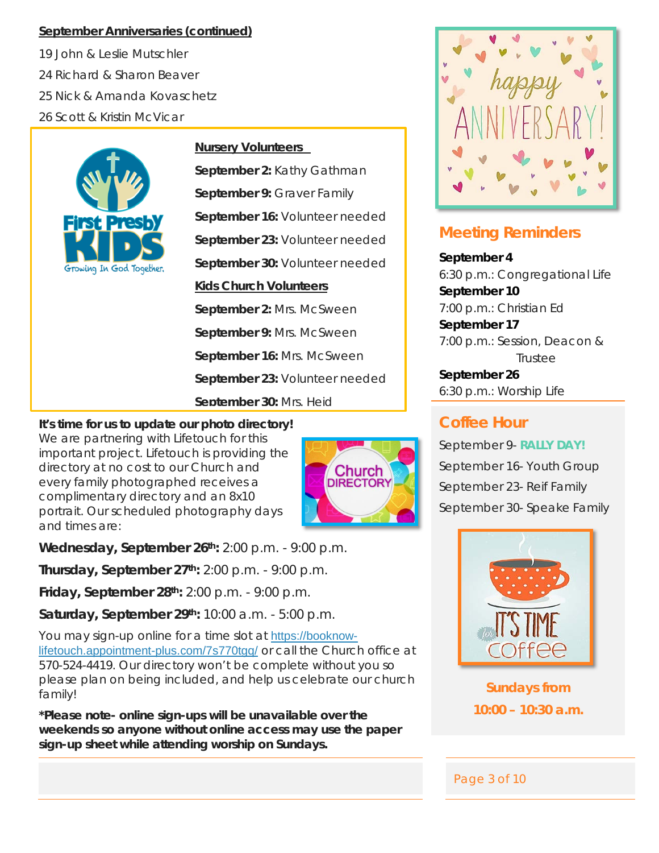#### **September Anniversaries (continued)**

19 John & Leslie Mutschler 24 Richard & Sharon Beaver 25 Nick & Amanda Kovaschetz 26 Scott & Kristin McVicar



#### **Nursery Volunteers**

**September 2:** Kathy Gathman **September 9:** Graver Family **September 16:** Volunteer needed **September 23:** Volunteer needed **September 30:** Volunteer needed **Kids Church Volunteers September 2:** Mrs. McSween **September 9:** Mrs. McSween **September 16:** Mrs. McSween **September 23:** Volunteer needed **September 30:** Mrs. Heid

**It's time for us to update our photo directory!**  We are partnering with Lifetouch for this important project. Lifetouch is providing the directory at no cost to our Church and every family photographed receives a complimentary directory and an 8x10 portrait. Our scheduled photography days and times are:



**Wednesday, September 26th:** 2:00 p.m. - 9:00 p.m.

**Thursday, September 27th:** 2:00 p.m. - 9:00 p.m.

**Friday, September 28th:** 2:00 p.m. - 9:00 p.m.

**Saturday, September 29th:** 10:00 a.m. - 5:00 p.m.

You may sign-up online for a time slot at [https://booknow](https://booknow-lifetouch.appointment-plus.com/7s770tgq/)[lifetouch.appointment-plus.com/7s770tgq/](https://booknow-lifetouch.appointment-plus.com/7s770tgq/) or call the Church office at 570-524-4419. Our directory won't be complete without you so please plan on being included, and help us celebrate our church family!

**\*Please note- online sign-ups will be unavailable over the weekends so anyone without online access may use the paper sign-up sheet while attending worship on Sundays.**



# **Meeting Reminders**

**September 4** 6:30 p.m.: Congregational Life **September 10** 7:00 p.m.: Christian Ed **September 17** 7:00 p.m.: Session, Deacon & Trustee **September 26**

6:30 p.m.: Worship Life

# **Coffee Hour**

September 9- **RALLY DAY!** September 16- Youth Group September 23- Reif Family September 30- Speake Family



**Sundays from 10:00 – 10:30 a.m.**

Page 3 of 10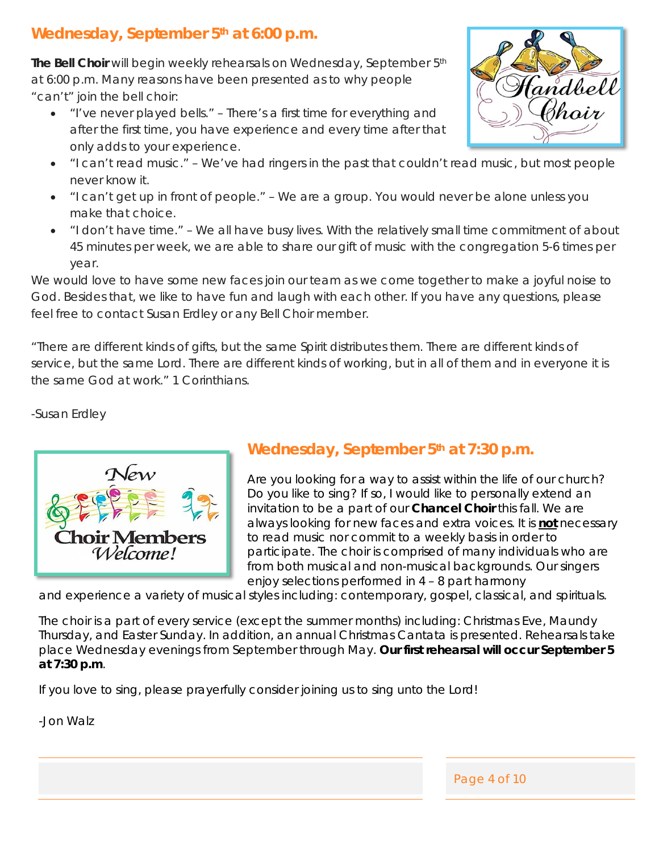# Wednesday, September 5<sup>th</sup> at 6:00 p.m.

**The Bell Choir** will begin weekly rehearsals on Wednesday, September 5th at 6:00 p.m. Many reasons have been presented as to why people "can't" join the bell choir:

• "I've never played bells." – *There's a first time for everything and after the first time, you have experience and every time after that only adds to your experience.*



- "I can't get up in front of people." *We are a group. You would never be alone unless you make that choice.*
- "I don't have time." *We all have busy lives. With the relatively small time commitment of about 45 minutes per week, we are able to share our gift of music with the congregation 5-6 times per year.*

We would love to have some new faces join our team as we come together to make a joyful noise to God. Besides that, we like to have fun and laugh with each other. If you have any questions, please feel free to contact Susan Erdley or any Bell Choir member.

*"There are different kinds of gifts, but the same Spirit distributes them. There are different kinds of service, but the same Lord. There are different kinds of working, but in all of them and in everyone it is the same God at work."* 1 Corinthians.

-Susan Erdley



# **Wednesday, September 5th at 7:30 p.m.**

Are you looking for a way to assist within the life of our church? Do you like to sing? If so, I would like to personally extend an invitation to be a part of our **Chancel Choir** this fall. We are always looking for new faces and extra voices. It is **not** necessary to read music nor commit to a weekly basis in order to participate. The choir is comprised of many individuals who are from both musical and non-musical backgrounds. Our singers enjoy selections performed in 4 – 8 part harmony

and experience a variety of musical styles including: contemporary, gospel, classical, and spirituals.

The choir is a part of every service (except the summer months) including: Christmas Eve, Maundy Thursday, and Easter Sunday. In addition, an annual Christmas Cantata is presented. Rehearsals take place Wednesday evenings from September through May. **Our first rehearsal will occur September 5 at 7:30 p.m**.

If you love to sing, please prayerfully consider joining us to sing unto the Lord!

-Jon Walz



Page 4 of 10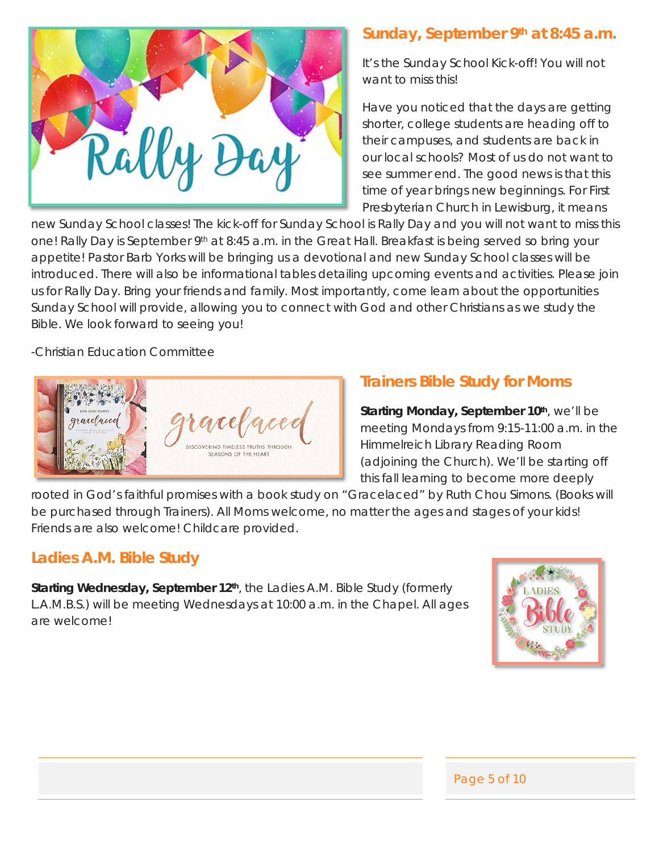

# **Sunday, September 9th at 8:45 a.m.**

It's the Sunday School Kick-off! You will not want to miss this!

Have you noticed that the days are getting shorter, college students are heading off to their campuses, and students are back in our local schools? Most of us do not want to see summer end. The good news is that this time of year brings new beginnings. For First Presbyterian Church in Lewisburg, it means

new Sunday School classes! The kick-off for Sunday School is Rally Day and you will not want to miss this one! Rally Day is September 9<sup>th</sup> at 8:45 a.m. in the Great Hall. Breakfast is being served so bring your appetite! Pastor Barb Yorks will be bringing us a devotional and new Sunday School classes will be introduced. There will also be informational tables detailing upcoming events and activities. Please join us for Rally Day. Bring your friends and family. Most importantly, come learn about the opportunities Sunday School will provide, allowing you to connect with God and other Christians as we study the Bible. We look forward to seeing you!

-Christian Education Committee



# **Trainers Bible Study for Moms**

**Starting Monday, September 10th, we'll be** meeting Mondays from 9:15-11:00 a.m. in the Himmelreich Library Reading Room (adjoining the Church). We'll be starting off this fall learning to become more deeply

rooted in God's faithful promises with a book study on "Gracelaced" by Ruth Chou Simons. (Books will be purchased through Trainers). All Moms welcome, no matter the ages and stages of your kids! Friends are also welcome! Childcare provided.

# **Ladies A.M. Bible Study**

**Starting Wednesday, September 12<sup>th</sup>**, the Ladies A.M. Bible Study (formerly L.A.M.B.S.) will be meeting Wednesdays at 10:00 a.m. in the Chapel. All ages are welcome!



Page 5 of 10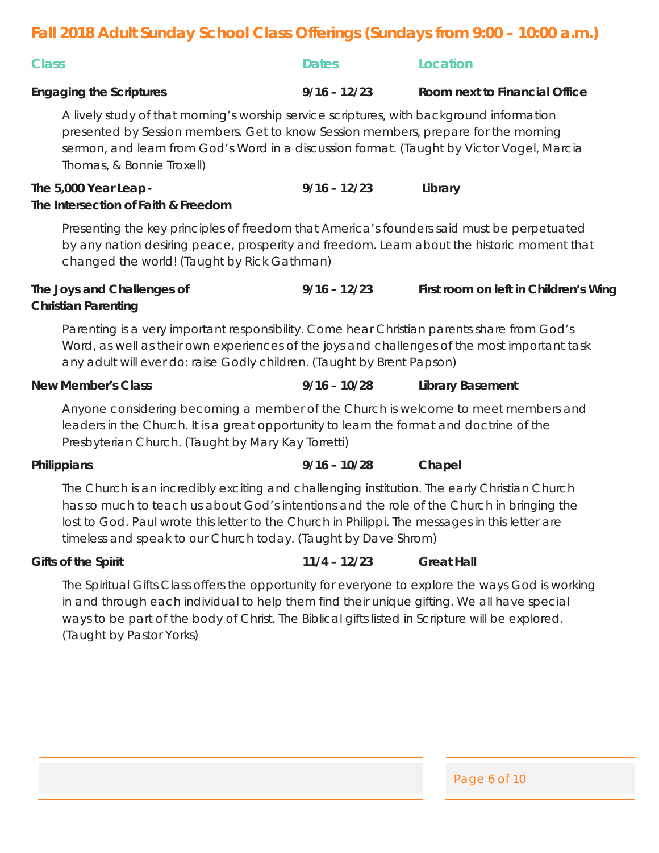# **Fall 2018 Adult Sunday School Class Offerings (Sundays from 9:00 – 10:00 a.m.)**

| <u>rali zu 18 Adult Sunday School Glass Olienngs (Sundays Ilomi 9:00 – 10:00 a.m.)</u>                                                                                                                                                                                                                                                                        |                |                                       |  |
|---------------------------------------------------------------------------------------------------------------------------------------------------------------------------------------------------------------------------------------------------------------------------------------------------------------------------------------------------------------|----------------|---------------------------------------|--|
| <b>Class</b>                                                                                                                                                                                                                                                                                                                                                  | <b>Dates</b>   | <b>Location</b>                       |  |
| <b>Engaging the Scriptures</b>                                                                                                                                                                                                                                                                                                                                | $9/16 - 12/23$ | Room next to Financial Office         |  |
| A lively study of that morning's worship service scriptures, with background information<br>presented by Session members. Get to know Session members, prepare for the morning<br>sermon, and learn from God's Word in a discussion format. (Taught by Victor Vogel, Marcia<br>Thomas, & Bonnie Troxell)                                                      |                |                                       |  |
| The 5,000 Year Leap -<br>The Intersection of Faith & Freedom                                                                                                                                                                                                                                                                                                  | $9/16 - 12/23$ | Library                               |  |
| Presenting the key principles of freedom that America's founders said must be perpetuated<br>by any nation desiring peace, prosperity and freedom. Learn about the historic moment that<br>changed the world! (Taught by Rick Gathman)                                                                                                                        |                |                                       |  |
| The Joys and Challenges of<br><b>Christian Parenting</b>                                                                                                                                                                                                                                                                                                      | $9/16 - 12/23$ | First room on left in Children's Wing |  |
| Parenting is a very important responsibility. Come hear Christian parents share from God's<br>Word, as well as their own experiences of the joys and challenges of the most important task<br>any adult will ever do: raise Godly children. (Taught by Brent Papson)                                                                                          |                |                                       |  |
| <b>New Member's Class</b>                                                                                                                                                                                                                                                                                                                                     | $9/16 - 10/28$ | <b>Library Basement</b>               |  |
| Anyone considering becoming a member of the Church is welcome to meet members and<br>leaders in the Church. It is a great opportunity to learn the format and doctrine of the<br>Presbyterian Church. (Taught by Mary Kay Torretti)                                                                                                                           |                |                                       |  |
| Philippians                                                                                                                                                                                                                                                                                                                                                   | $9/16 - 10/28$ | Chapel                                |  |
| The Church is an incredibly exciting and challenging institution. The early Christian Church<br>has so much to teach us about God's intentions and the role of the Church in bringing the<br>lost to God. Paul wrote this letter to the Church in Philippi. The messages in this letter are<br>timeless and speak to our Church today. (Taught by Dave Shrom) |                |                                       |  |
| <b>Gifts of the Spirit</b>                                                                                                                                                                                                                                                                                                                                    | $11/4 - 12/23$ | <b>Great Hall</b>                     |  |
| The Spiritual Gifts Class offers the opportunity for everyone to explore the ways God is working                                                                                                                                                                                                                                                              |                |                                       |  |

in and through each individual to help them find their unique gifting. We all have special ways to be part of the body of Christ. The Biblical gifts listed in Scripture will be explored. (Taught by Pastor Yorks)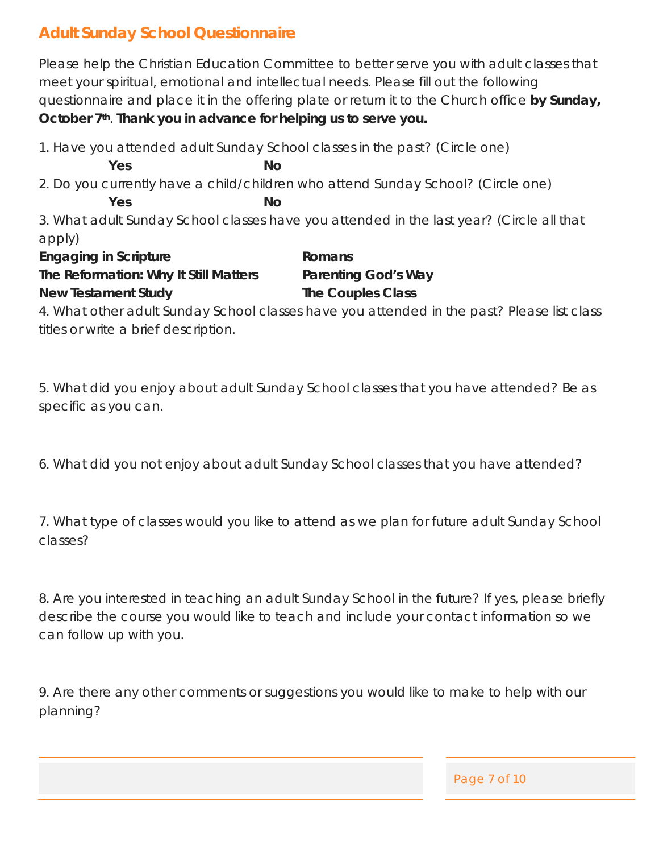# **Adult Sunday School Questionnaire**

Please help the Christian Education Committee to better serve you with adult classes that meet your spiritual, emotional and intellectual needs. Please fill out the following questionnaire and place it in the offering plate or return it to the Church office **by Sunday, October 7th**. **Thank you in advance for helping us to serve you.**

1. Have you attended adult Sunday School classes in the past? (Circle one) **Yes No** 2. Do you currently have a child/children who attend Sunday School? (Circle one) **Yes No** 3. What adult Sunday School classes have you attended in the last year? (Circle all that apply) **Engaging in Scripture Romans The Reformation: Why It Still Matters Parenting God's Way New Testament Study The Couples Class**

4. What other adult Sunday School classes have you attended in the past? Please list class titles or write a brief description.

5. What did you enjoy about adult Sunday School classes that you have attended? Be as specific as you can.

6. What did you not enjoy about adult Sunday School classes that you have attended?

7. What type of classes would you like to attend as we plan for future adult Sunday School classes?

8. Are you interested in teaching an adult Sunday School in the future? If yes, please briefly describe the course you would like to teach and include your contact information so we can follow up with you.

9. Are there any other comments or suggestions you would like to make to help with our planning?

Page 7 of 10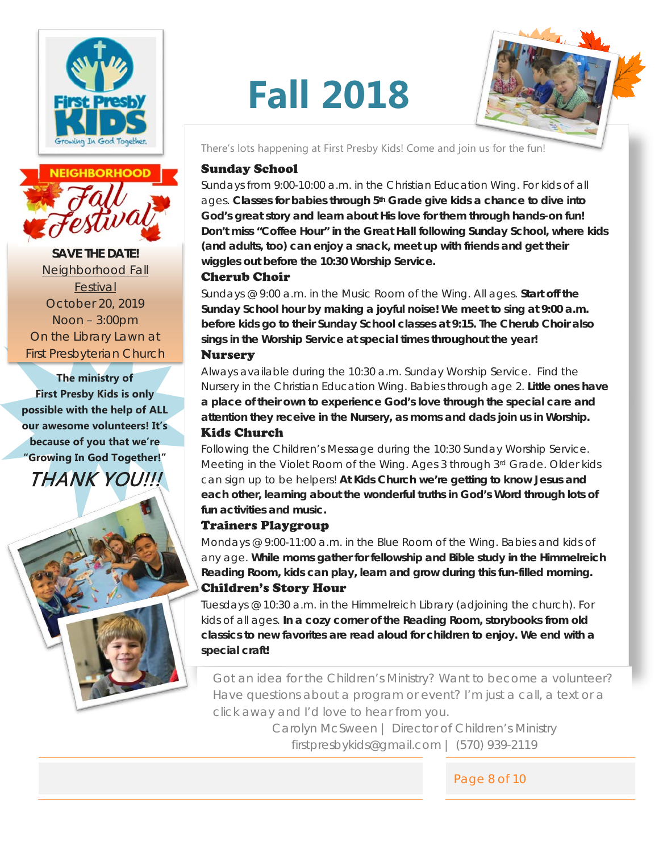



**SAVE THE DATE!** Neighborhood Fall Festival October 20, 2019 Noon – 3:00pm On the Library Lawn at First Presbyterian Church

**The ministry of First Presby Kids is only possible with the help of ALL our awesome volunteers! It's because of you that we're "Growing In God Together!"**  THANK YOU!!!



# **Fall 2018**



There's lots happening at First Presby Kids! Come and join us for the fun!

#### Sunday School

*Sundays from 9:00-10:00 a.m. in the Christian Education Wing. For kids of all ages.* **Classes for babies through 5th Grade give kids a chance to dive into God's great story and learn about His love for them through hands-on fun! Don't miss "Coffee Hour" in the Great Hall following Sunday School, where kids (and adults, too) can enjoy a snack, meet up with friends and get their wiggles out before the 10:30 Worship Service.**

#### Cherub Choir

*Sundays @ 9:00 a.m. in the Music Room of the Wing. All ages.* **Start off the Sunday School hour by making a joyful noise! We meet to sing at 9:00 a.m. before kids go to their Sunday School classes at 9:15. The Cherub Choir also sings in the Worship Service at special times throughout the year!** Nursery

*Always available during the 10:30 a.m. Sunday Worship Service. Find the Nursery in the Christian Education Wing. Babies through age 2.* **Little ones have a place of their own to experience God's love through the special care and attention they receive in the Nursery, as moms and dads join us in Worship.** Kids Church

*Following the Children's Message during the 10:30 Sunday Worship Service. Meeting in the Violet Room of the Wing. Ages 3 through 3rd Grade. Older kids can sign up to be helpers!* **At Kids Church we're getting to know Jesus and each other, learning about the wonderful truths in God's Word through lots of fun activities and music.** 

#### Trainers Playgroup

*Mondays @ 9:00-11:00 a.m. in the Blue Room of the Wing. Babies and kids of any age.* **While moms gather for fellowship and Bible study in the Himmelreich Reading Room, kids can play, learn and grow during this fun-filled morning.**  Children's Story Hour

*Tuesdays @ 10:30 a.m. in the Himmelreich Library (adjoining the church). For kids of all ages.* **In a cozy corner of the Reading Room, storybooks from old classics to new favorites are read aloud for children to enjoy. We end with a special craft!** 

Got an idea for the Children's Ministry? Want to become a volunteer? Have questions about a program or event? I'm just a call, a text or a click away and I'd love to hear from you.

> Carolyn McSween | Director of Children's Ministry firstpresbykids@gmail.com | (570) 939-2119

> > Page 8 of 10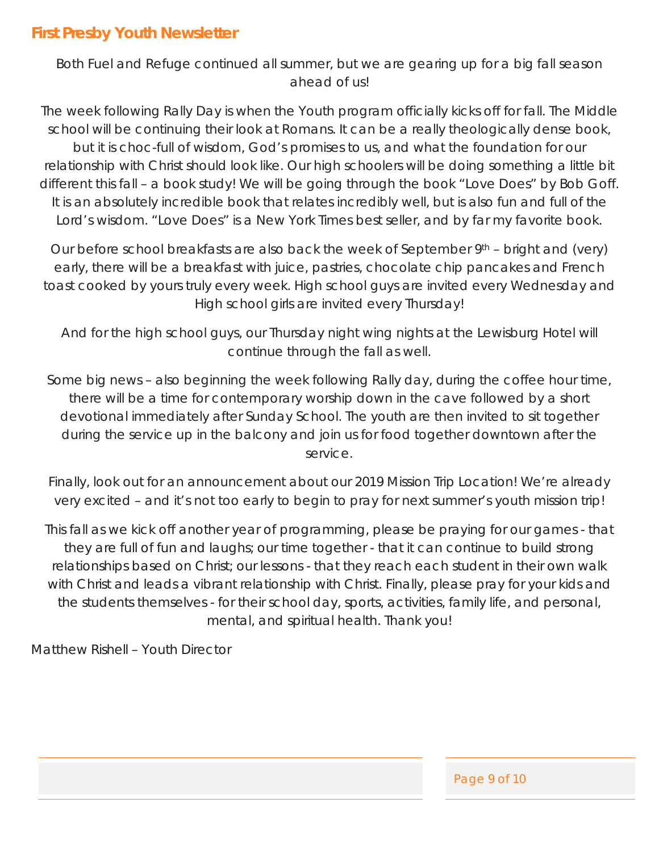Both Fuel and Refuge continued all summer, but we are gearing up for a big fall season ahead of us!

The week following Rally Day is when the Youth program officially kicks off for fall. The Middle school will be continuing their look at Romans. It can be a really theologically dense book, but it is choc-full of wisdom, God's promises to us, and what the foundation for our relationship with Christ should look like. Our high schoolers will be doing something a little bit different this fall – a book study! We will be going through the book "Love Does" by Bob Goff. It is an absolutely incredible book that relates incredibly well, but is also fun and full of the Lord's wisdom. "Love Does" is a New York Times best seller, and *by far* my favorite book.

Our before school breakfasts are also back the week of September 9<sup>th</sup> – bright and (very) early, there will be a breakfast with juice, pastries, chocolate chip pancakes and French toast cooked by yours truly every week. High school guys are invited every Wednesday and High school girls are invited every Thursday!

And for the high school guys, our Thursday night wing nights at the Lewisburg Hotel will continue through the fall as well.

Some big news – also beginning the week following Rally day, during the coffee hour time, there will be a time for contemporary worship down in the cave followed by a short devotional immediately after Sunday School. The youth are then invited to sit together during the service up in the balcony and join us for food together downtown after the service.

Finally, look out for an announcement about our 2019 Mission Trip Location! We're already very excited – and it's not too early to begin to pray for next summer's youth mission trip!

This fall as we kick off another year of programming, please be praying for our games - that they are full of fun and laughs; our time together - that it can continue to build strong relationships based on Christ; our lessons - that they reach each student in their own walk with Christ and leads a vibrant relationship with Christ. Finally, please pray for your kids and the students themselves - for their school day, sports, activities, family life, and personal, mental, and spiritual health. Thank you!

Matthew Rishell – Youth Director

Page 9 of 10